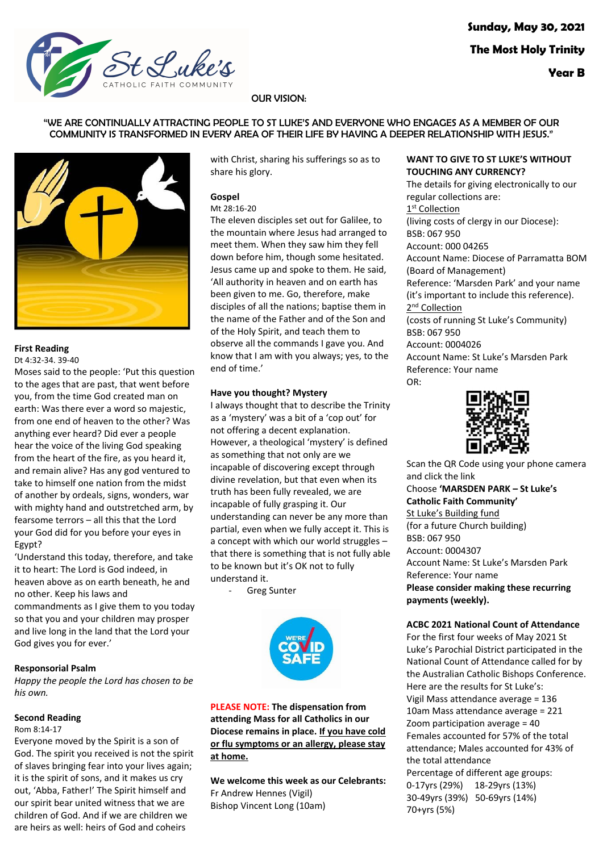

# OUR VISION:

# "WE ARE CONTINUALLY ATTRACTING PEOPLE TO ST LUKE'S AND EVERYONE WHO ENGAGES AS A MEMBER OF OUR COMMUNITY IS TRANSFORMED IN EVERY AREA OF THEIR LIFE BY HAVING A DEEPER RELATIONSHIP WITH JESUS."



# **First Reading**

Dt 4:32-34. 39-40

Moses said to the people: 'Put this question to the ages that are past, that went before you, from the time God created man on earth: Was there ever a word so majestic, from one end of heaven to the other? Was anything ever heard? Did ever a people hear the voice of the living God speaking from the heart of the fire, as you heard it, and remain alive? Has any god ventured to take to himself one nation from the midst of another by ordeals, signs, wonders, war with mighty hand and outstretched arm, by fearsome terrors – all this that the Lord your God did for you before your eyes in Egypt?

'Understand this today, therefore, and take it to heart: The Lord is God indeed, in heaven above as on earth beneath, he and no other. Keep his laws and commandments as I give them to you today so that you and your children may prosper and live long in the land that the Lord your God gives you for ever.'

# **Responsorial Psalm**

*Happy the people the Lord has chosen to be his own.*

# **Second Reading**

Rom 8:14-17

Everyone moved by the Spirit is a son of God. The spirit you received is not the spirit of slaves bringing fear into your lives again; it is the spirit of sons, and it makes us cry out, 'Abba, Father!' The Spirit himself and our spirit bear united witness that we are children of God. And if we are children we are heirs as well: heirs of God and coheirs

with Christ, sharing his sufferings so as to share his glory.

# **Gospel**

Mt 28:16-20

The eleven disciples set out for Galilee, to the mountain where Jesus had arranged to meet them. When they saw him they fell down before him, though some hesitated. Jesus came up and spoke to them. He said, 'All authority in heaven and on earth has been given to me. Go, therefore, make disciples of all the nations; baptise them in the name of the Father and of the Son and of the Holy Spirit, and teach them to observe all the commands I gave you. And know that I am with you always; yes, to the end of time.'

# **Have you thought? Mystery**

I always thought that to describe the Trinity as a 'mystery' was a bit of a 'cop out' for not offering a decent explanation. However, a theological 'mystery' is defined as something that not only are we incapable of discovering except through divine revelation, but that even when its truth has been fully revealed, we are incapable of fully grasping it. Our understanding can never be any more than partial, even when we fully accept it. This is a concept with which our world struggles – that there is something that is not fully able to be known but it's OK not to fully understand it.

Greg Sunter



**PLEASE NOTE: The dispensation from attending Mass for all Catholics in our Diocese remains in place. If you have cold or flu symptoms or an allergy, please stay at home.**

**We welcome this week as our Celebrants:** Fr Andrew Hennes (Vigil) Bishop Vincent Long (10am)

#### **WANT TO GIVE TO ST LUKE'S WITHOUT TOUCHING ANY CURRENCY?**

The details for giving electronically to our regular collections are: 1<sup>st</sup> Collection (living costs of clergy in our Diocese): BSB: 067 950 Account: 000 04265 Account Name: Diocese of Parramatta BOM (Board of Management) Reference: 'Marsden Park' and your name (it's important to include this reference). 2<sup>nd</sup> Collection (costs of running St Luke's Community) BSB: 067 950 Account: 0004026 Account Name: St Luke's Marsden Park Reference: Your name OR:



Scan the QR Code using your phone camera and click the link

Choose **'MARSDEN PARK – St Luke's Catholic Faith Community'** St Luke's Building fund

(for a future Church building) BSB: 067 950 Account: 0004307 Account Name: St Luke's Marsden Park Reference: Your name **Please consider making these recurring payments (weekly).**

# **ACBC 2021 National Count of Attendance**

For the first four weeks of May 2021 St Luke's Parochial District participated in the National Count of Attendance called for by the Australian Catholic Bishops Conference. Here are the results for St Luke's: Vigil Mass attendance average = 136 10am Mass attendance average = 221 Zoom participation average = 40 Females accounted for 57% of the total attendance; Males accounted for 43% of the total attendance Percentage of different age groups: 0-17yrs (29%) 18-29yrs (13%) 30-49yrs (39%) 50-69yrs (14%) 70+yrs (5%)